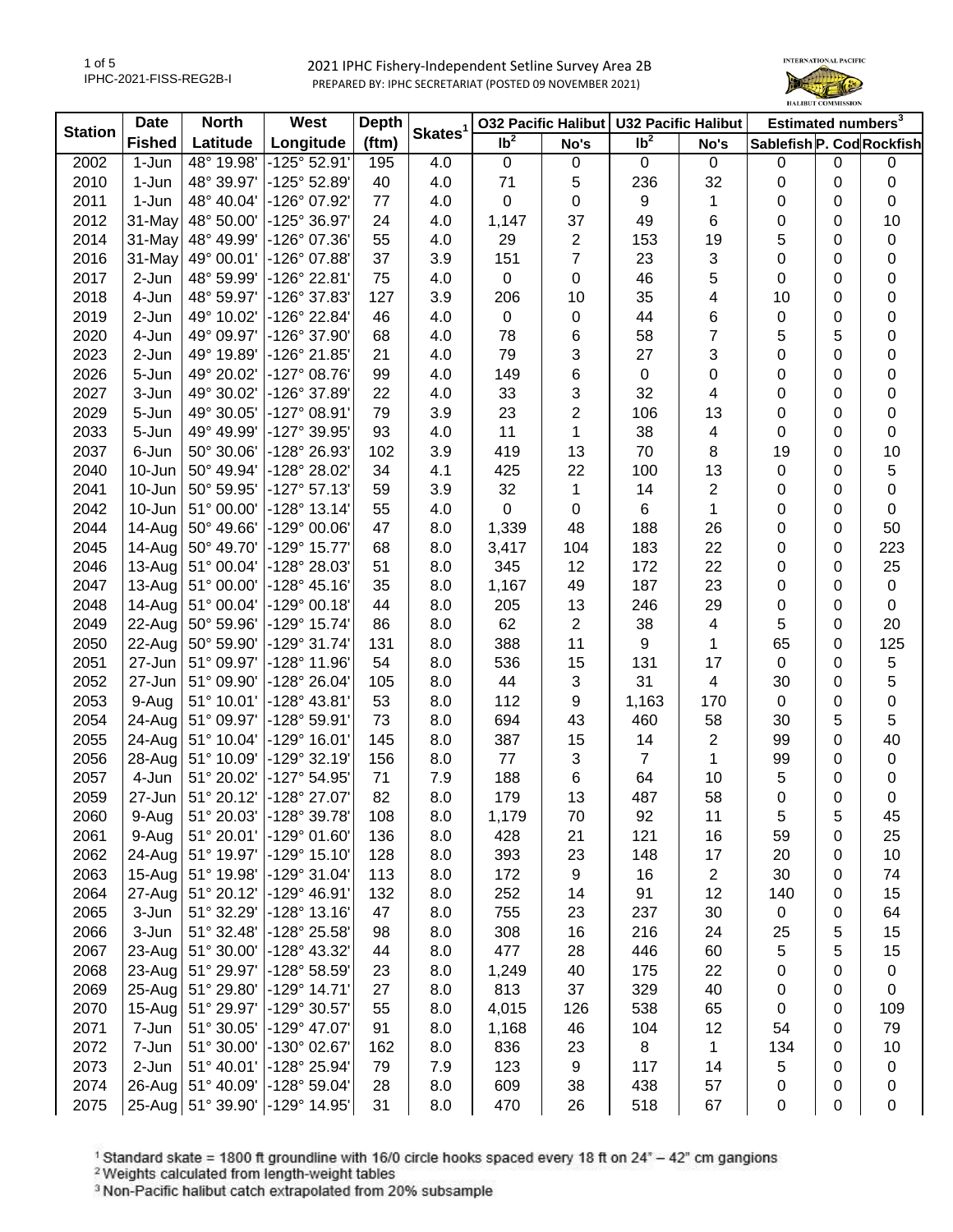1 of 5 IPHC-2021-FISS-REG2B-I



| <b>Station</b> | <b>Date</b>   | <b>North</b>      | West                  | <b>Depth</b> |                     | <b>032 Pacific Halibut</b> |                | <b>U32 Pacific Halibut</b> |                | Estimated numbers <sup>3</sup> |   |                |
|----------------|---------------|-------------------|-----------------------|--------------|---------------------|----------------------------|----------------|----------------------------|----------------|--------------------------------|---|----------------|
|                | <b>Fished</b> | Latitude          | Longitude             | (ftm)        | Skates <sup>1</sup> | $\overline{\mathsf{lb}^2}$ | No's           | $\overline{\mathsf{lb}^2}$ | No's           | Sablefish P. Cod Rockfish      |   |                |
| 2002           | 1-Jun         | 48° 19.98'        | -125° 52.91'          | 195          | 4.0                 | $\mathbf 0$                | $\mathbf 0$    | $\mathbf 0$                | 0              | 0                              | 0 | 0              |
| 2010           | 1-Jun         | 48° 39.97'        | -125° 52.89'          | 40           | 4.0                 | 71                         | 5              | 236                        | 32             | 0                              | 0 | $\pmb{0}$      |
| 2011           | 1-Jun         | 48° 40.04'        | -126° 07.92'          | 77           | 4.0                 | 0                          | 0              | 9                          | 1              | 0                              | 0 | $\pmb{0}$      |
| 2012           | 31-May        | 48° 50.00'        | -125° 36.97'          | 24           | 4.0                 | 1,147                      | 37             | 49                         | 6              | 0                              | 0 | 10             |
| 2014           | 31-May        | 48° 49.99'        | -126° 07.36'          | 55           | 4.0                 | 29                         | $\overline{c}$ | 153                        | 19             | 5                              | 0 | $\pmb{0}$      |
| 2016           | 31-May        | 49° 00.01'        | -126° 07.88'          | 37           | 3.9                 | 151                        | $\overline{7}$ | 23                         | 3              | 0                              | 0 | 0              |
| 2017           | 2-Jun         | 48° 59.99'        | -126° 22.81'          | 75           | 4.0                 | $\mathbf 0$                | 0              | 46                         | 5              | 0                              | 0 | 0              |
| 2018           | 4-Jun         | 48° 59.97'        | -126° 37.83'          | 127          | 3.9                 | 206                        | 10             | 35                         | 4              | 10                             | 0 | 0              |
| 2019           | 2-Jun         | 49° 10.02'        | -126° 22.84'          | 46           | 4.0                 | $\mathbf 0$                | 0              | 44                         | 6              | 0                              | 0 | $\pmb{0}$      |
| 2020           | 4-Jun         | 49° 09.97'        | -126° 37.90'          | 68           | 4.0                 | 78                         | 6              | 58                         | 7              | 5                              | 5 | $\pmb{0}$      |
| 2023           | 2-Jun         | 49° 19.89'        | -126° 21.85'          | 21           | 4.0                 | 79                         | 3              | 27                         | 3              | 0                              | 0 | $\pmb{0}$      |
| 2026           | 5-Jun         | 49° 20.02'        | $-127^{\circ}$ 08.76' | 99           | 4.0                 | 149                        | 6              | 0                          | 0              | 0                              | 0 | 0              |
| 2027           | 3-Jun         | 49° 30.02'        | -126° 37.89'          | 22           | 4.0                 | 33                         | 3              | 32                         | 4              | 0                              | 0 | $\mathbf 0$    |
| 2029           | 5-Jun         | 49° 30.05'        | $-127°08.91'$         | 79           | 3.9                 | 23                         | $\overline{2}$ | 106                        | 13             | 0                              | 0 | 0              |
| 2033           | 5-Jun         | 49° 49.99'        | -127° 39.95'          | 93           | 4.0                 | 11                         | 1              | 38                         | 4              | 0                              | 0 | $\pmb{0}$      |
| 2037           | 6-Jun         | 50° 30.06'        | -128° 26.93'          | 102          | 3.9                 | 419                        | 13             | 70                         | 8              | 19                             | 0 | 10             |
| 2040           | 10-Jun        | 50° 49.94'        | -128° 28.02'          | 34           | 4.1                 | 425                        | 22             | 100                        | 13             | 0                              | 0 | 5              |
| 2041           | 10-Jun        | 50° 59.95'        | $-127°57.13'$         | 59           | 3.9                 | 32                         | 1              | 14                         | 2              | 0                              | 0 | $\pmb{0}$      |
| 2042           | 10-Jun        | 51° 00.00'        | $-128°$ 13.14         | 55           | 4.0                 | $\Omega$                   | 0              | 6                          | 1              | 0                              | 0 | $\pmb{0}$      |
| 2044           | 14-Aug        | 50° 49.66'        | -129° 00.06'          | 47           | 8.0                 | 1,339                      | 48             | 188                        | 26             | 0                              | 0 | 50             |
| 2045           | 14-Aug        | 50° 49.70'        | -129° 15.77'          | 68           | 8.0                 | 3,417                      | 104            | 183                        | 22             | 0                              | 0 | 223            |
| 2046           | 13-Aug        | 51° 00.04'        | -128° 28.03'          | 51           | 8.0                 | 345                        | 12             | 172                        | 22             | 0                              | 0 | 25             |
| 2047           | 13-Aug        | 51° 00.00'        | -128° 45.16'          | 35           | 8.0                 | 1,167                      | 49             | 187                        | 23             | 0                              | 0 | $\pmb{0}$      |
| 2048           | 14-Aug        | 51° 00.04'        | -129° 00.18'          | 44           | 8.0                 | 205                        | 13             | 246                        | 29             | 0                              | 0 | $\pmb{0}$      |
| 2049           | 22-Aug        | 50° 59.96'        | -129° 15.74'          | 86           | 8.0                 | 62                         | $\overline{2}$ | 38                         | 4              | 5                              | 0 | 20             |
| 2050           | 22-Aug        | 50° 59.90'        | -129° 31.74'          | 131          | 8.0                 | 388                        | 11             | 9                          | 1              | 65                             | 0 | 125            |
| 2051           | 27-Jun        | 51° 09.97'        | -128° 11.96'          | 54           | 8.0                 | 536                        | 15             | 131                        | 17             | $\pmb{0}$                      | 0 | $\mathbf 5$    |
| 2052           | 27-Jun        | 51° 09.90'        | -128° 26.04'          | 105          | 8.0                 | 44                         | $\mathfrak{S}$ | 31                         | 4              | 30                             | 0 | 5              |
| 2053           | 9-Aug         | 51° 10.01'        | -128° 43.81'          | 53           | 8.0                 | 112                        | 9              | 1,163                      | 170            | 0                              | 0 | $\mathbf 0$    |
| 2054           | 24-Aug        | 51° 09.97'        | -128° 59.91'          | 73           | 8.0                 | 694                        | 43             | 460                        | 58             | 30                             | 5 | 5              |
| 2055           | 24-Aug        | 51° 10.04'        | $-129°$ 16.01'        | 145          | 8.0                 | 387                        | 15             | 14                         | $\overline{2}$ | 99                             | 0 | 40             |
| 2056           | 28-Aug        | 51° 10.09'        | $-129°32.19'$         | 156          | 8.0                 | 77                         | 3              | $\overline{7}$             | 1              | 99                             | 0 | $\pmb{0}$      |
| 2057           | 4-Jun         | 51° 20.02'        | -127° 54.95'          | 71           | 7.9                 | 188                        | 6              | 64                         | 10             | 5                              | 0 | 0              |
| 2059           | 27-Jun        | 51° 20.12'        | -128° 27.07'          | 82           | 8.0                 | 179                        | 13             | 487                        | 58             | 0                              | 0 | $\mathbf 0$    |
| 2060           | 9-Aug         | 51° 20.03'        | -128° 39.78'          | 108          | 8.0                 | 1,179                      | 70             | 92                         | 11             | 5                              | 5 | 45             |
| 2061           | 9-Aug         | 51° 20.01'        | -129° 01.60'          | 136          | 8.0                 | 428                        | 21             | 121                        | 16             | 59                             | 0 | 25             |
| 2062           | 24-Aug        | 51° 19.97'        | -129° 15.10'          | 128          | 8.0                 | 393                        | 23             | 148                        | 17             | 20                             | 0 | 10             |
| 2063           | 15-Aug        | 51° 19.98'        | -129° 31.04'          | 113          | 8.0                 | 172                        | 9              | 16                         | 2              | 30                             | 0 | 74             |
| 2064           | 27-Aug        | 51° 20.12'        | -129° 46.91'          | 132          | 8.0                 | 252                        | 14             | 91                         | 12             | 140                            | 0 | 15             |
| 2065           | 3-Jun         | 51° 32.29'        | $-128°13.16'$         | 47           | 8.0                 | 755                        | 23             | 237                        | 30             | 0                              | 0 | 64             |
| 2066           | 3-Jun         | 51° 32.48'        | -128° 25.58'          | 98           | 8.0                 | 308                        | 16             | 216                        | 24             | 25                             | 5 | 15             |
| 2067           | 23-Aug        | 51° 30.00'        | -128° 43.32'          | 44           | 8.0                 | 477                        | 28             | 446                        | 60             | 5                              | 5 | 15             |
| 2068           | 23-Aug        | 51° 29.97'        | -128° 58.59'          | 23           | 8.0                 | 1,249                      | 40             | 175                        | 22             | 0                              | 0 | $\pmb{0}$      |
| 2069           | 25-Aug        | 51° 29.80'        | -129° 14.71'          | 27           | 8.0                 | 813                        | 37             | 329                        | 40             | 0                              | 0 | $\pmb{0}$      |
| 2070           | 15-Aug        | 51° 29.97'        | -129° 30.57'          | 55           | 8.0                 | 4,015                      | 126            | 538                        | 65             | 0                              | 0 | 109            |
| 2071           | 7-Jun         | 51° 30.05'        | -129° 47.07'          | 91           | 8.0                 | 1,168                      | 46             | 104                        | 12             | 54                             | 0 | 79             |
| 2072           | 7-Jun         | 51° 30.00'        | -130° 02.67'          | 162          | 8.0                 | 836                        | 23             | 8                          | 1              | 134                            | 0 | 10             |
| 2073           | 2-Jun         | 51° 40.01'        | -128° 25.94'          | 79           | 7.9                 | 123                        |                | 117                        | 14             |                                | 0 |                |
| 2074           | $26$ -Aug     | 51° 40.09'        | -128° 59.04'          | 28           | 8.0                 | 609                        | 9<br>38        | 438                        | 57             | 5<br>0                         | 0 | 0              |
| 2075           |               | 25-Aug 51° 39.90' | -129° 14.95'          | 31           | 8.0                 | 470                        | 26             | 518                        | 67             | 0                              | 0 | 0<br>$\pmb{0}$ |
|                |               |                   |                       |              |                     |                            |                |                            |                |                                |   |                |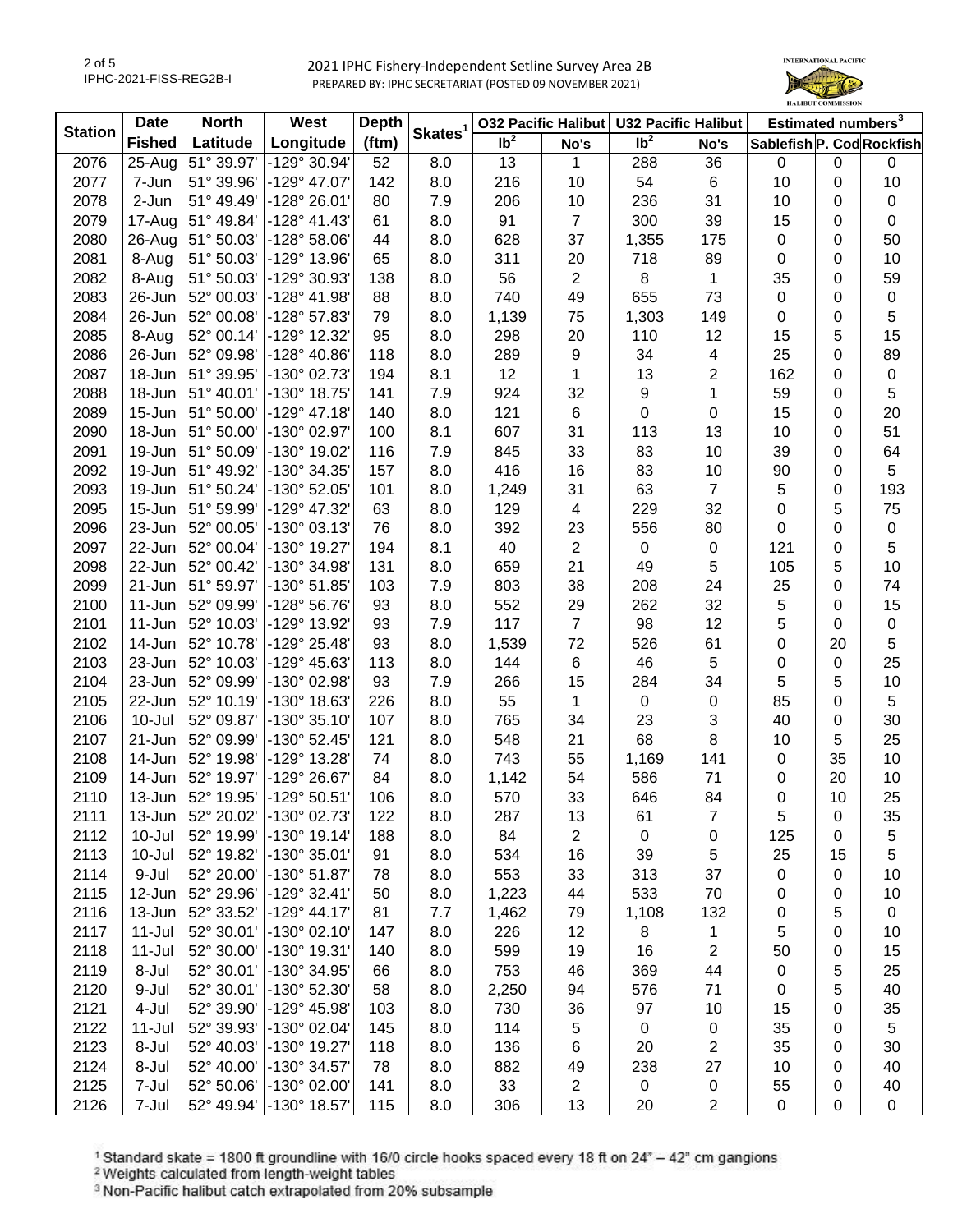

| <b>Station</b> | <b>Date</b>   | <b>North</b>        | <b>West</b>           | <b>Depth</b> | Skates <sup>1</sup> |                 | 032 Pacific Halibut   U32 Pacific Halibut |                   |                     | Estimated numbers <sup>3</sup> |                |             |
|----------------|---------------|---------------------|-----------------------|--------------|---------------------|-----------------|-------------------------------------------|-------------------|---------------------|--------------------------------|----------------|-------------|
|                | <b>Fished</b> | Latitude            | Longitude             | (ftm)        |                     | Ib <sup>2</sup> | No's                                      | $\overline{1}b^2$ | No's                | Sablefish P. Cod Rockfish      |                |             |
| 2076           | $25 - Aug$    | $51^{\circ} 39.97'$ | $-129^{\circ}30.94'$  | 52           | 8.0                 | 13              | 1                                         | 288               | 36                  | 0                              | $\mathbf 0$    | 0           |
| 2077           | 7-Jun         | 51° 39.96'          | -129° 47.07'          | 142          | 8.0                 | 216             | 10                                        | 54                | 6                   | 10                             | 0              | 10          |
| 2078           | 2-Jun         | 51° 49.49'          | -128° 26.01'          | 80           | 7.9                 | 206             | 10                                        | 236               | 31                  | 10                             | 0              | 0           |
| 2079           | $17$ -Aug     | 51° 49.84'          | $-128° 41.43'$        | 61           | 8.0                 | 91              | $\overline{7}$                            | 300               | 39                  | 15                             | 0              | 0           |
| 2080           | $26$ -Aug     | 51° 50.03'          | $-128°58.06'$         | 44           | 8.0                 | 628             | 37                                        | 1,355             | 175                 | 0                              | 0              | 50          |
| 2081           | 8-Aug         | 51° 50.03'          | -129° 13.96'          | 65           | 8.0                 | 311             | 20                                        | 718               | 89                  | 0                              | 0              | 10          |
| 2082           | 8-Aug         | 51° 50.03'          | -129° 30.93'          | 138          | 8.0                 | 56              | $\mathbf{2}$                              | 8                 | $\mathbf 1$         | 35                             | 0              | 59          |
| 2083           | 26-Jun        | 52° 00.03'          | -128° 41.98'          | 88           | 8.0                 | 740             | 49                                        | 655               | 73                  | 0                              | 0              | $\pmb{0}$   |
| 2084           | 26-Jun        | 52° 00.08'          | -128° 57.83'          | 79           | 8.0                 | 1,139           | 75                                        | 1,303             | 149                 | 0                              | 0              | 5           |
| 2085           | 8-Aug         | 52° 00.14'          | -129° 12.32'          | 95           | 8.0                 | 298             | 20                                        | 110               | 12                  | 15                             | 5              | 15          |
| 2086           | 26-Jun        | 52° 09.98'          | $-128^{\circ}$ 40.86' | 118          | 8.0                 | 289             | 9                                         | 34                | 4                   | 25                             | $\mathbf 0$    | 89          |
| 2087           | 18-Jun        | 51° 39.95'          | -130° 02.73'          | 194          | 8.1                 | 12              | 1                                         | 13                | $\overline{2}$      | 162                            | 0              | $\mathsf 0$ |
| 2088           | 18-Jun        | 51° 40.01'          | -130° 18.75'          | 141          | 7.9                 | 924             | 32                                        | 9                 | 1                   | 59                             | 0              | 5           |
| 2089           | 15-Jun        | 51° 50.00'          | $-129°$ 47.18         | 140          | 8.0                 | 121             | 6                                         | $\pmb{0}$         | $\pmb{0}$           | 15                             | 0              | 20          |
| 2090           | 18-Jun        | 51° 50.00'          | -130° 02.97'          | 100          | 8.1                 | 607             | 31                                        | 113               | 13                  | 10                             | 0              | 51          |
| 2091           | 19-Jun        | 51° 50.09'          | -130° 19.02'          | 116          | 7.9                 | 845             | 33                                        | 83                | 10                  | 39                             | 0              | 64          |
| 2092           | 19-Jun        | 51° 49.92'          | -130° 34.35'          | 157          | 8.0                 | 416             | 16                                        | 83                | 10                  | 90                             | 0              | 5           |
| 2093           | 19-Jun        | 51° 50.24'          | -130° 52.05'          | 101          | 8.0                 | 1,249           | 31                                        | 63                | $\overline{7}$      | 5                              | 0              | 193         |
| 2095           | $15 - Jun$    | 51° 59.99'          | -129° 47.32'          | 63           | 8.0                 | 129             | $\overline{4}$                            | 229               | 32                  | 0                              | 5              | 75          |
| 2096           | 23-Jun        | 52° 00.05'          | -130° 03.13'          | 76           | 8.0                 | 392             | 23                                        | 556               | 80                  | 0                              | 0              | 0           |
| 2097           | 22-Jun        | 52° 00.04'          | -130° 19.27'          | 194          | 8.1                 | 40              | $\mathbf{2}$                              | $\pmb{0}$         | 0                   | 121                            | 0              | 5           |
| 2098           | 22-Jun        | 52° 00.42'          | -130° 34.98'          | 131          | 8.0                 | 659             | 21                                        | 49                | 5                   | 105                            | 5              | 10          |
| 2099           | 21-Jun        | 51° 59.97'          | -130° 51.85'          | 103          | 7.9                 | 803             | 38                                        | 208               | 24                  | 25                             | 0              | 74          |
| 2100           | $11 - Jun$    | 52° 09.99'          | -128° 56.76'          | 93           | 8.0                 | 552             | 29                                        | 262               | 32                  | 5                              | 0              | 15          |
| 2101           | 11-Jun        | 52° 10.03'          | -129° 13.92'          | 93           | 7.9                 | 117             | $\overline{7}$                            | 98                | 12                  | 5                              | 0              | 0           |
| 2102           | 14-Jun        | 52° 10.78'          | -129° 25.48'          | 93           | 8.0                 | 1,539           | 72                                        | 526               | 61                  | 0                              | 20             | 5           |
| 2103           | 23-Jun        | 52° 10.03'          | -129° 45.63'          | 113          | 8.0                 | 144             | 6                                         | 46                | 5                   | 0                              | $\pmb{0}$      | 25          |
| 2104           | 23-Jun        | 52° 09.99'          | -130° 02.98'          | 93           | 7.9                 | 266             | 15                                        | 284               | 34                  | 5                              | 5              | 10          |
| 2105           | 22-Jun        | 52° 10.19'          | -130° 18.63'          | 226          | 8.0                 | 55              | 1                                         | 0                 | $\mathbf 0$         | 85                             | 0              | 5           |
| 2106           | 10-Jul        | 52° 09.87'          | -130° 35.10'          | 107          | 8.0                 | 765             | 34                                        | 23                | 3                   | 40                             | 0              | 30          |
| 2107           | 21-Jun        | 52° 09.99'          | -130° 52.45'          | 121          | 8.0                 | 548             | 21                                        | 68                | 8                   | 10                             | 5              | 25          |
| 2108           | 14-Jun        | 52° 19.98'          | -129° 13.28'          | 74           | 8.0                 | 743             | 55                                        | 1,169             | 141                 | 0                              | 35             | 10          |
| 2109           | 14-Jun        | 52° 19.97'          | -129° 26.67'          | 84           | 8.0                 | 1,142           | 54                                        | 586               | 71                  | 0                              | 20             | 10          |
| 2110           | 13-Jun        | 52° 19.95'          | -129° 50.51'          | 106          | 8.0                 | 570             | 33                                        | 646               | 84                  | 0                              | 10             | 25          |
| 2111           | 13-Jun        | $52^{\circ}$ 20.02  | $-130^{\circ}$ 02.73  | 122          | 8.0                 | 287             | 13                                        | 61                | 7                   | 5                              | 0              | 35          |
| 2112           | 10-Jul        | 52° 19.99'          | $-130^{\circ}$ 19.14' | 188          | 8.0                 | 84              | 2                                         | 0                 | 0                   | 125                            | 0              | 5           |
| 2113           | 10-Jul        | 52° 19.82'          | -130° 35.01'          | 91           | 8.0                 | 534             | 16                                        | 39                | 5                   | 25                             | 15             | 5           |
| 2114           | 9-Jul         | 52° 20.00'          | $-130^{\circ} 51.87'$ | 78           | 8.0                 | 553             | 33                                        | 313               | 37                  | 0                              | 0              | 10          |
| 2115           | 12-Jun        | 52° 29.96'          | $-129°32.41'$         | 50           | 8.0                 | 1,223           | 44                                        | 533               | 70                  | 0                              | 0              | 10          |
| 2116           | 13-Jun        | 52° 33.52'          | $-129° 44.17'$        | 81           | 7.7                 | 1,462           | 79                                        | 1,108             | 132                 | 0                              | 5              | 0           |
| 2117           | $11 -$ Jul    | 52° 30.01'          | $-130^{\circ}$ 02.10' | 147          | 8.0                 | 226             | 12                                        | 8                 | 1                   | 5                              | 0              | 10          |
| 2118           | $11 -$ Jul    | 52° 30.00'          | -130° 19.31'          | 140          | 8.0                 | 599             | 19                                        | 16                | $\overline{2}$      | 50                             | 0              | 15          |
| 2119           | 8-Jul         | 52° 30.01'          | -130° 34.95'          | 66           | 8.0                 | 753             | 46                                        | 369               | 44                  | 0                              | 5              | 25          |
| 2120           | 9-Jul         | 52° 30.01'          | -130° 52.30'          | 58           | 8.0                 | 2,250           | 94                                        | 576               | 71                  | 0                              | 5              | 40          |
| 2121           | 4-Jul         | 52° 39.90'          | -129° 45.98'          | 103          | 8.0                 | 730             | 36                                        | 97                | 10                  | 15                             | $\overline{0}$ | 35          |
| 2122           | $11 -$ Jul    | 52° 39.93'          | -130° 02.04'          | 145          | 8.0                 | 114             | $\sqrt{5}$                                | 0                 |                     | 35                             | 0              | 5           |
| 2123           | 8-Jul         | 52° 40.03'          | -130° 19.27'          | 118          | 8.0                 | 136             | 6                                         | 20                | 0<br>$\overline{2}$ | 35                             | 0              | 30          |
| 2124           | 8-Jul         | 52° 40.00'          | -130° 34.57'          | 78           | 8.0                 | 882             | 49                                        | 238               | 27                  | 10                             | 0              | 40          |
| 2125           | 7-Jul         | 52° 50.06'          | -130° 02.00'          | 141          | 8.0                 | 33              | $\overline{c}$                            | $\mathbf 0$       | 0                   | 55                             | 0              | 40          |
| 2126           | 7-Jul         | 52° 49.94'          | -130° 18.57'          | 115          | 8.0                 | 306             | 13                                        | 20                | $\overline{2}$      | $\pmb{0}$                      | 0              | 0           |
|                |               |                     |                       |              |                     |                 |                                           |                   |                     |                                |                |             |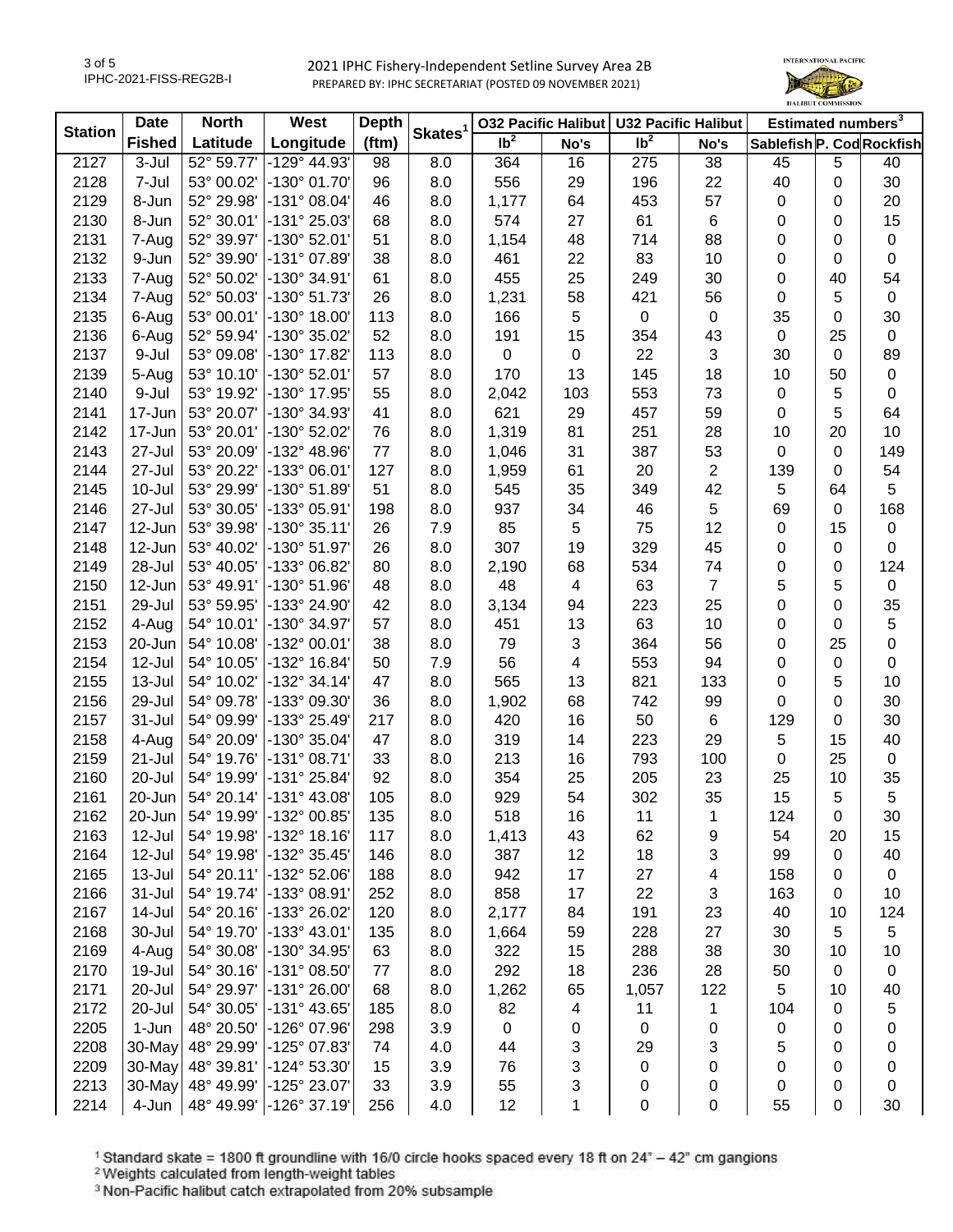

| <b>Station</b> | <b>Date</b>           | <b>North</b>       | <b>West</b>                  | <b>Depth</b> | Skates <sup>1</sup> |                   | 032 Pacific Halibut   U32 Pacific Halibut |                 |                | Estimated numbers <sup>3</sup> |             |             |
|----------------|-----------------------|--------------------|------------------------------|--------------|---------------------|-------------------|-------------------------------------------|-----------------|----------------|--------------------------------|-------------|-------------|
|                | <b>Fished</b>         | Latitude           | Longitude                    | (ftm)        |                     | $\overline{1}b^2$ | No's                                      | Ib <sup>2</sup> | No's           | Sablefish P. Cod Rockfish      |             |             |
| 2127           | 3-Jul                 | 52° 59.77'         | $-129^{\circ}$ 44.93'        | 98           | 8.0                 | 364               | 16                                        | 275             | 38             | 45                             | 5           | 40          |
| 2128           | 7-Jul                 | 53° 00.02'         | -130° 01.70'                 | 96           | 8.0                 | 556               | 29                                        | 196             | 22             | 40                             | 0           | 30          |
| 2129           | 8-Jun                 | 52° 29.98'         | $-131^{\circ}$ 08.04'        | 46           | 8.0                 | 1,177             | 64                                        | 453             | 57             | $\mathbf 0$                    | 0           | 20          |
| 2130           | 8-Jun                 | 52° 30.01'         | -131° 25.03'                 | 68           | 8.0                 | 574               | 27                                        | 61              | 6              | 0                              | 0           | 15          |
| 2131           | 7-Aug                 | 52° 39.97'         | -130° 52.01'                 | 51           | 8.0                 | 1,154             | 48                                        | 714             | 88             | 0                              | 0           | $\pmb{0}$   |
| 2132           | 9-Jun                 | 52° 39.90'         | $-131°07.89'$                | 38           | 8.0                 | 461               | 22                                        | 83              | 10             | 0                              | 0           | $\pmb{0}$   |
| 2133           | 7-Aug                 | 52° 50.02'         | -130° 34.91'                 | 61           | 8.0                 | 455               | 25                                        | 249             | 30             | 0                              | 40          | 54          |
| 2134           | 7-Aug                 | 52° 50.03'         | -130° 51.73'                 | 26           | 8.0                 | 1,231             | 58                                        | 421             | 56             | 0                              | 5           | $\pmb{0}$   |
| 2135           | 6-Aug                 | 53° 00.01'         | $-130^{\circ}$ 18.00'        | 113          | 8.0                 | 166               | 5                                         | $\mathsf 0$     | 0              | 35                             | 0           | 30          |
| 2136           | 6-Aug                 | 52° 59.94'         | -130° 35.02'                 | 52           | 8.0                 | 191               | 15                                        | 354             | 43             | $\mathbf 0$                    | 25          | $\pmb{0}$   |
| 2137           | 9-Jul                 | 53° 09.08'         | -130° 17.82'                 | 113          | 8.0                 | $\mathbf 0$       | $\mathbf 0$                               | 22              | 3              | 30                             | 0           | 89          |
| 2139           | 5-Aug                 | 53° 10.10'         | $-130^{\circ}$ 52.01         | 57           | 8.0                 | 170               | 13                                        | 145             | 18             | 10                             | 50          | $\pmb{0}$   |
| 2140           | 9-Jul                 | 53° 19.92'         | -130° 17.95'                 | 55           | 8.0                 | 2,042             | 103                                       | 553             | 73             | $\mathbf 0$                    | 5           | $\pmb{0}$   |
| 2141           | 17-Jun                | 53° 20.07'         | -130° 34.93'                 | 41           | 8.0                 | 621               | 29                                        | 457             | 59             | $\pmb{0}$                      | 5           | 64          |
| 2142           | 17-Jun                | 53° 20.01'         | -130° 52.02'                 | 76           | 8.0                 | 1,319             | 81                                        | 251             | 28             | 10                             | 20          | 10          |
| 2143           | 27-Jul                | 53° 20.09'         | -132° 48.96'                 | 77           | 8.0                 | 1,046             | 31                                        | 387             | 53             | 0                              | 0           | 149         |
| 2144           | 27-Jul                | 53° 20.22'         | -133° 06.01'                 | 127          | 8.0                 | 1,959             | 61                                        | 20              | $\overline{2}$ | 139                            | 0           | 54          |
| 2145           | 10-Jul                | 53° 29.99'         | -130° 51.89'                 | 51           | 8.0                 | 545               | 35                                        | 349             | 42             | 5                              | 64          | 5           |
| 2146           | 27-Jul                | 53° 30.05'         | -133° 05.91'                 | 198          | 8.0                 | 937               | 34                                        | 46              | 5              | 69                             | 0           | 168         |
| 2147           | 12-Jun                | 53° 39.98'         | $-130°35.11'$                | 26           | 7.9                 | 85                | 5                                         | 75              | 12             | 0                              | 15          | $\pmb{0}$   |
| 2148           | 12-Jun                | 53° 40.02'         | -130° 51.97'                 | 26           | 8.0                 | 307               | 19                                        | 329             | 45             | 0                              | $\mathbf 0$ | 0           |
| 2149           | 28-Jul                | 53° 40.05'         | -133° 06.82'                 | 80           | 8.0                 | 2,190             | 68                                        | 534             | 74             | 0                              | 0           | 124         |
| 2150           | 12-Jun                | 53° 49.91'         | -130° 51.96'                 | 48           | 8.0                 | 48                | 4                                         | 63              | $\overline{7}$ | 5                              | 5           | $\pmb{0}$   |
| 2151           | 29-Jul                | 53° 59.95'         | -133° 24.90'                 | 42           | 8.0                 | 3,134             | 94                                        | 223             | 25             | 0                              | 0           | 35          |
| 2152           | 4-Aug                 | 54° 10.01'         | $-130^{\circ}$ 34.97         | 57           | 8.0                 | 451               | 13                                        | 63              | 10             | 0                              | 0           | $\sqrt{5}$  |
| 2153           | $20$ -Jun             | 54° 10.08'         | -132° 00.01'                 | 38           | 8.0                 | 79                | 3                                         | 364             | 56             | 0                              | 25          | $\pmb{0}$   |
| 2154           | 12-Jul                | 54° 10.05'         | -132° 16.84'                 | 50           | 7.9                 | 56                | 4                                         | 553             | 94             | 0                              | $\pmb{0}$   | $\pmb{0}$   |
| 2155           | 13-Jul                | 54° 10.02'         | -132° 34.14'                 | 47           | 8.0                 | 565               | 13                                        | 821             | 133            | 0                              | 5           | 10          |
| 2156           | 29-Jul                | 54° 09.78'         | -133° 09.30'                 | 36           | 8.0                 | 1,902             | 68                                        | 742             | 99             | 0                              | $\mathbf 0$ | 30          |
| 2157           | $31 -$ Jul            | 54° 09.99'         | -133° 25.49'                 | 217          | 8.0                 | 420               | 16                                        | 50              | 6              | 129                            | $\mathbf 0$ | 30          |
| 2158           | 4-Aug                 | 54° 20.09'         | $-130^{\circ}35.04'$         | 47           | 8.0                 | 319               | 14                                        | 223             | 29             | 5                              | 15          | 40          |
| 2159           | 21-Jul                | 54° 19.76'         | $-131°08.71'$                | 33           | 8.0                 | 213               | 16                                        | 793             | 100            | $\mathsf 0$                    | 25          | $\mathsf 0$ |
| 2160           | 20-Jul                | 54° 19.99'         | -131° 25.84'                 | 92           | 8.0                 | 354               | 25                                        | 205             | 23             | 25                             | 10          | 35          |
| 2161           | 20-Jun                | 54° 20.14'         | $-131°$ 43.08                | 105          | 8.0                 | 929               | 54                                        | 302             | 35             | 15                             | 5           | 5           |
| 2162           | $20$ -Jun $\parallel$ | $54^{\circ}$ 19.99 | $-132^{\circ}$ 00.85         | 135          | 8.0                 | 518               | 16                                        | 11              | 1              | 124                            | 0           | 30          |
| 2163           | 12-Jul                | 54° 19.98'         | $-132^{\circ}$ 18.16         | 117          | 8.0                 | 1,413             | 43                                        | 62              | 9              | 54                             | 20          | 15          |
| 2164           | 12-Jul                | 54° 19.98'         | -132° 35.45'                 | 146          | 8.0                 | 387               | 12                                        | 18              | 3              | 99                             | 0           | 40          |
| 2165           | $13 -$ Jul            | 54° 20.11'         | $-132°52.06'$                | 188          | 8.0                 | 942               | 17                                        | 27              | 4              | 158                            | 0           | 0           |
| 2166           | 31-Jul                | 54° 19.74'         | $ -133^{\circ}08.91$         | 252          | 8.0                 | 858               | 17                                        | 22              | 3              | 163                            | 0           | 10          |
| 2167           | 14-Jul                | 54° 20.16'         | $-133^{\circ} 26.02'$        | 120          | 8.0                 | 2,177             | 84                                        | 191             | 23             | 40                             | 10          | 124         |
| 2168           | 30-Jul                | 54° 19.70'         | -133° 43.01'                 | 135          | 8.0                 | 1,664             | 59                                        | 228             | 27             | 30                             | 5           | 5           |
| 2169           | 4-Aug                 | 54° 30.08'         | $\vert$ -130° 34.95'         | 63           | 8.0                 | 322               | 15                                        | 288             | 38             | 30                             | 10          | 10          |
| 2170           | 19-Jul                | 54° 30.16'         | $-131°08.50'$                | 77           | 8.0                 | 292               | 18                                        | 236             | 28             | 50                             | $\mathbf 0$ | $\pmb{0}$   |
| 2171           | 20-Jul                | 54° 29.97'         | $-131^{\circ} 26.00^{\circ}$ | 68           | 8.0                 | 1,262             | 65                                        | 1,057           | 122            | 5                              | 10          | 40          |
| 2172           | 20-Jul                | 54° 30.05'         | $-131^{\circ}$ 43.65'        | 185          | 8.0                 | 82                | 4                                         | 11              | 1              | 104                            | 0           | 5           |
| 2205           | 1-Jun                 | 48° 20.50'         | $-126°07.96'$                | 298          | 3.9                 | $\mathbf 0$       | 0                                         | $\pmb{0}$       | 0              | 0                              | 0           | 0           |
| 2208           | $30$ -May             | 48° 29.99'         | $-125°07.83'$                | 74           | 4.0                 | 44                | 3                                         | 29              | 3              | 5                              | 0           | 0           |
| 2209           | 30-May                | 48° 39.81'         | -124° 53.30'                 | 15           | 3.9                 | 76                | 3                                         | 0               | 0              | 0                              | 0           | 0           |
| 2213           | $30$ -May             | 48° 49.99'         | -125° 23.07'                 | 33           | 3.9                 | 55                | 3                                         | 0               | 0              | 0                              | 0           | 0           |
| 2214           | 4-Jun                 |                    | 48° 49.99' -126° 37.19'      | 256          | 4.0                 | 12                | 1                                         | 0               | 0              | 55                             | 0           | 30          |
|                |                       |                    |                              |              |                     |                   |                                           |                 |                |                                |             |             |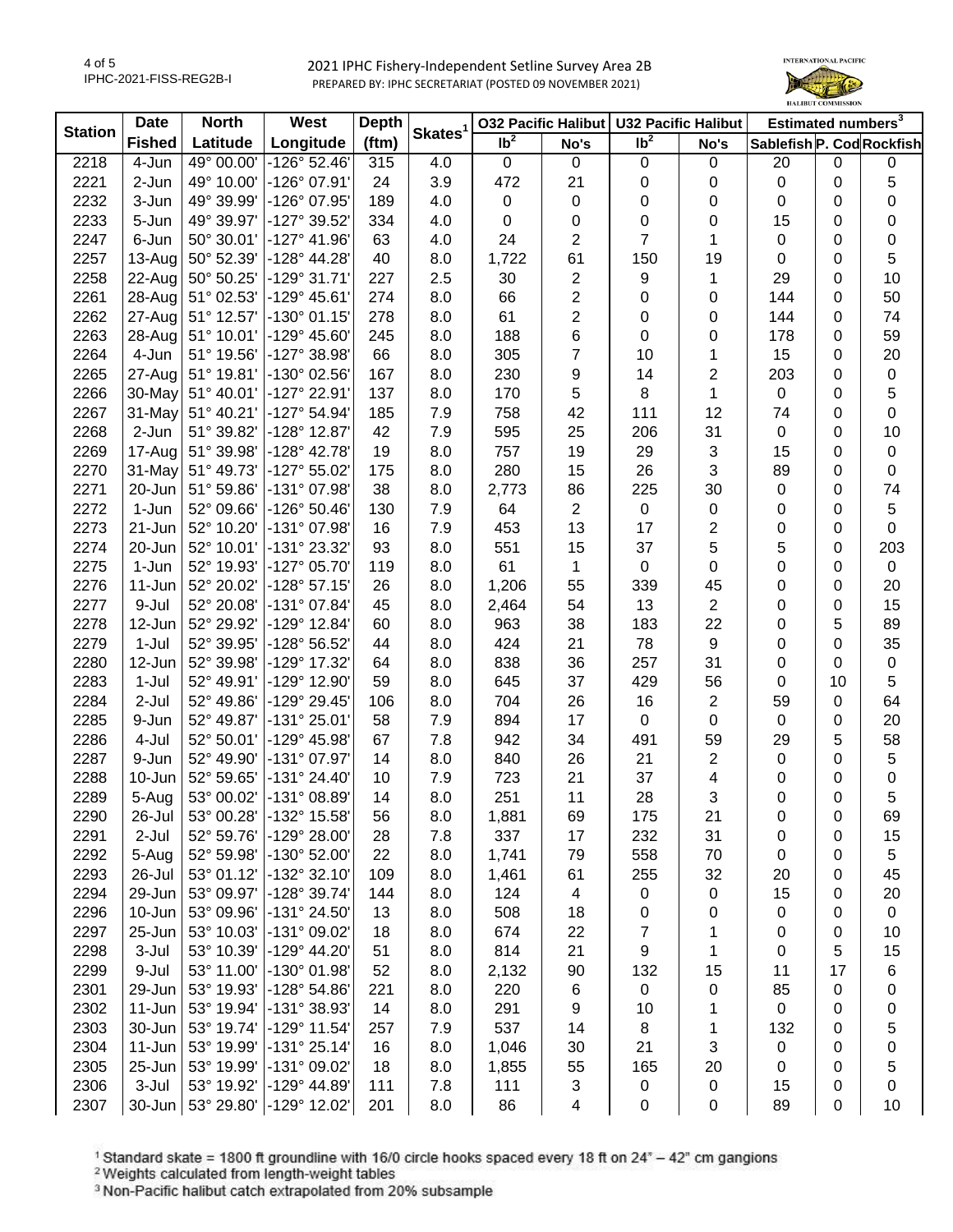

| <b>Station</b> | <b>Date</b>   | <b>North</b> | <b>West</b>           | <b>Depth</b> |                     | <b>032 Pacific Halibut</b> |                | U32 Pacific Halibut        |                | Estimated numbers <sup>3</sup> |             |             |
|----------------|---------------|--------------|-----------------------|--------------|---------------------|----------------------------|----------------|----------------------------|----------------|--------------------------------|-------------|-------------|
|                | <b>Fished</b> | Latitude     | Longitude             | (ftm)        | Skates <sup>1</sup> | $\overline{1}b^2$          | No's           | $\overline{\mathsf{lb}^2}$ | No's           | Sablefish P. Cod Rockfish      |             |             |
| 2218           | 4-Jun         | 49° 00.00'   | $-126°52.46'$         | 315          | 4.0                 | $\mathbf 0$                | $\mathbf 0$    | $\mathbf 0$                | $\mathbf 0$    | 20                             | $\mathbf 0$ | 0           |
| 2221           | 2-Jun         | 49° 10.00'   | -126° 07.91'          | 24           | 3.9                 | 472                        | 21             | 0                          | 0              | $\pmb{0}$                      | $\mathbf 0$ | 5           |
| 2232           | 3-Jun         | 49° 39.99'   | -126° 07.95'          | 189          | 4.0                 | $\pmb{0}$                  | 0              | 0                          | 0              | 0                              | 0           | $\pmb{0}$   |
| 2233           | 5-Jun         | 49° 39.97'   | -127° 39.52'          | 334          | 4.0                 | 0                          | 0              | 0                          | 0              | 15                             | 0           | $\pmb{0}$   |
| 2247           | 6-Jun         | 50° 30.01'   | $-127^{\circ}$ 41.96' | 63           | 4.0                 | 24                         | $\mathbf{2}$   | $\overline{7}$             | 1              | 0                              | 0           | $\pmb{0}$   |
| 2257           | 13-Aug        | 50° 52.39'   | -128° 44.28'          | 40           | 8.0                 | 1,722                      | 61             | 150                        | 19             | 0                              | 0           | 5           |
| 2258           | 22-Aug        | 50° 50.25'   | $-129°31.71'$         | 227          | 2.5                 | 30                         | $\overline{2}$ | 9                          | 1              | 29                             | 0           | 10          |
| 2261           | 28-Aug        | 51° 02.53'   | -129° 45.61'          | 274          | 8.0                 | 66                         | $\overline{2}$ | 0                          | 0              | 144                            | 0           | 50          |
| 2262           | 27-Aug        | 51° 12.57'   | $-130^{\circ}$ 01.15' | 278          | 8.0                 | 61                         | $\overline{c}$ | 0                          | 0              | 144                            | 0           | 74          |
| 2263           | 28-Aug        | 51° 10.01'   | -129° 45.60'          | 245          | 8.0                 | 188                        | 6              | $\mathbf 0$                | 0              | 178                            | 0           | 59          |
| 2264           | 4-Jun         | 51° 19.56'   | -127° 38.98'          | 66           | 8.0                 | 305                        | $\overline{7}$ | 10                         | 1              | 15                             | 0           | 20          |
| 2265           | 27-Aug        | 51° 19.81'   | -130° 02.56'          | 167          | 8.0                 | 230                        | 9              | 14                         | $\overline{2}$ | 203                            | 0           | $\pmb{0}$   |
| 2266           | 30-May        | 51° 40.01'   | -127° 22.91'          | 137          | 8.0                 | 170                        | 5              | 8                          | 1              | $\mathbf 0$                    | 0           | 5           |
| 2267           | 31-May        | 51° 40.21'   | -127° 54.94'          | 185          | 7.9                 | 758                        | 42             | 111                        | 12             | 74                             | 0           | $\pmb{0}$   |
| 2268           | 2-Jun         | 51° 39.82'   | -128° 12.87'          | 42           | 7.9                 | 595                        | 25             | 206                        | 31             | $\mathbf 0$                    | 0           | 10          |
| 2269           | 17-Aug        | 51° 39.98'   | $-128^{\circ}$ 42.78' | 19           | 8.0                 | 757                        | 19             | 29                         | 3              | 15                             | 0           | $\pmb{0}$   |
| 2270           | 31-May        | 51° 49.73'   | -127° 55.02'          | 175          | 8.0                 | 280                        | 15             | 26                         | 3              | 89                             | 0           | $\pmb{0}$   |
| 2271           | 20-Jun        | 51° 59.86'   | -131° 07.98'          | 38           | 8.0                 | 2,773                      | 86             | 225                        | 30             | $\pmb{0}$                      | 0           | 74          |
| 2272           | 1-Jun         | 52° 09.66'   | -126° 50.46'          | 130          | 7.9                 | 64                         | $\overline{2}$ | $\mathbf 0$                | 0              | 0                              | 0           | 5           |
| 2273           | $21 - Jun$    | 52° 10.20'   | -131° 07.98'          | 16           | 7.9                 | 453                        | 13             | 17                         | 2              | 0                              | 0           | $\mathbf 0$ |
| 2274           | 20-Jun        | 52° 10.01'   | -131° 23.32'          | 93           | 8.0                 | 551                        | 15             | 37                         | 5              | 5                              | 0           | 203         |
| 2275           | 1-Jun         | 52° 19.93'   | -127° 05.70'          | 119          | 8.0                 | 61                         | 1              | $\mathbf 0$                | 0              | 0                              | 0           | $\pmb{0}$   |
| 2276           | 11-Jun        | 52° 20.02'   | $-128°57.15'$         | 26           | 8.0                 | 1,206                      | 55             | 339                        | 45             | 0                              | 0           | 20          |
| 2277           | 9-Jul         | 52° 20.08'   | -131° 07.84'          | 45           | 8.0                 | 2,464                      | 54             | 13                         | $\overline{2}$ | 0                              | 0           | 15          |
| 2278           | 12-Jun        | 52° 29.92'   | -129° 12.84'          | 60           | 8.0                 | 963                        | 38             | 183                        | 22             | 0                              | 5           | 89          |
| 2279           | $1-Jul$       | 52° 39.95'   | -128° 56.52'          | 44           | 8.0                 | 424                        | 21             | 78                         | 9              | 0                              | $\mathbf 0$ | 35          |
| 2280           | 12-Jun        | 52° 39.98'   | -129° 17.32'          | 64           | 8.0                 | 838                        | 36             | 257                        | 31             | 0                              | 0           | $\pmb{0}$   |
| 2283           | $1-Jul$       | 52° 49.91'   | -129° 12.90'          | 59           | 8.0                 | 645                        | 37             | 429                        | 56             | $\pmb{0}$                      | 10          | 5           |
| 2284           | 2-Jul         | 52° 49.86'   | -129° 29.45'          | 106          | 8.0                 | 704                        | 26             | 16                         | $\overline{2}$ | 59                             | $\mathbf 0$ | 64          |
| 2285           | 9-Jun         | 52° 49.87'   | -131° 25.01'          | 58           | 7.9                 | 894                        | 17             | 0                          | 0              | 0                              | 0           | 20          |
| 2286           | 4-Jul         | 52° 50.01'   | -129° 45.98'          | 67           | 7.8                 | 942                        | 34             | 491                        | 59             | 29                             | 5           | 58          |
| 2287           | 9-Jun         | 52° 49.90'   | -131° 07.97'          | 14           | 8.0                 | 840                        | 26             | 21                         | $\overline{c}$ | $\mathbf 0$                    | 0           | $\mathbf 5$ |
| 2288           | 10-Jun        | 52° 59.65'   | $-131°24.40'$         | 10           | 7.9                 | 723                        | 21             | 37                         | 4              | 0                              | 0           | $\mathbf 0$ |
| 2289           | 5-Aug         | 53° 00.02'   | -131° 08.89'          | 14           | 8.0                 | 251                        | 11             | 28                         | 3              | 0                              | 0           | 5           |
| 2290           | 26-Jul        | 53° 00.28'   | -132° 15.58'          | 56           | 8.0                 | 1,881                      | 69             | 175                        | 21             | 0                              | 0           | 69          |
| 2291           | 2-Jul         | 52° 59.76'   | -129° 28.00'          | 28           | 7.8                 | 337                        | 17             | 232                        | 31             | 0                              | 0           | 15          |
| 2292           | 5-Aug         | 52° 59.98'   | -130° 52.00'          | 22           | 8.0                 | 1,741                      | 79             | 558                        | 70             | 0                              | 0           | 5           |
| 2293           | 26-Jul        | 53° 01.12'   | -132° 32.10'          | 109          | 8.0                 | 1,461                      | 61             | 255                        | 32             | 20                             | 0           | 45          |
| 2294           | 29-Jun        | 53° 09.97'   | -128° 39.74'          | 144          | 8.0                 | 124                        | 4              | 0                          | 0              | 15                             | 0           | 20          |
| 2296           | 10-Jun        | 53° 09.96'   | -131° 24.50'          | 13           | 8.0                 | 508                        | 18             | 0                          | 0              | 0                              | 0           | $\pmb{0}$   |
| 2297           | 25-Jun        | 53° 10.03'   | -131° 09.02'          | 18           | 8.0                 | 674                        | 22             | 7                          | 1              | 0                              | 0           | 10          |
| 2298           | 3-Jul         | 53° 10.39'   | -129° 44.20'          | 51           | 8.0                 | 814                        | 21             | 9                          | 1              | 0                              | 5           | 15          |
| 2299           | 9-Jul         | 53° 11.00'   | -130° 01.98'          | 52           | 8.0                 | 2,132                      | 90             | 132                        | 15             | 11                             | 17          | 6           |
| 2301           | 29-Jun        | 53° 19.93'   | $-128°54.86'$         | 221          | 8.0                 | 220                        | 6              | 0                          | 0              | 85                             | 0           | 0           |
| 2302           | $11-Jun$      | 53° 19.94'   | -131° 38.93'          | 14           | 8.0                 | 291                        | 9              | 10                         | 1              | $\pmb{0}$                      | 0           | $\mathbf 0$ |
| 2303           | 30-Jun        | 53° 19.74'   | -129° 11.54'          | 257          | 7.9                 | 537                        | 14             | 8                          | 1              | 132                            | 0           | 5           |
| 2304           | $11 - Jun$    | 53° 19.99'   | $-131°25.14'$         | 16           | 8.0                 | 1,046                      | 30             | 21                         | 3              | 0                              | 0           | $\mathbf 0$ |
| 2305           | 25-Jun        | 53° 19.99'   | -131° 09.02'          | 18           | 8.0                 | 1,855                      | 55             | 165                        | 20             | 0                              | 0           | 5           |
| 2306           | 3-Jul         | 53° 19.92'   | -129° 44.89'          | 111          | 7.8                 | 111                        | 3              | 0                          | 0              | 15                             | 0           | 0           |
| 2307           | 30-Jun        | 53° 29.80'   | -129° 12.02'          | 201          | 8.0                 | 86                         | 4              | 0                          | 0              | 89                             | 0           | 10          |
|                |               |              |                       |              |                     |                            |                |                            |                |                                |             |             |